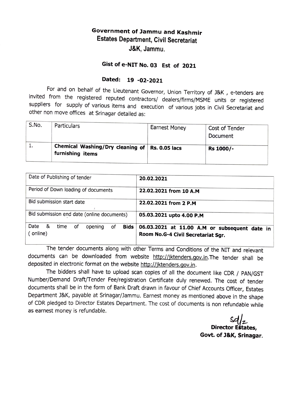## Government of Jammu and Kashmir Estates Department, Civil Secretariat J&K, Jammu.

## Gist of e-NIT No. 03 Est of 2021

## Dated: 19 -02-2021

For and on behalf of the Lieutenant Governor, Union Territory of J&K, e-tenders are<br>invited from the registered reputed contractors/ dealers/firms/MSME units or registered<br>suppliers for supply of various items and executio other non move offices at Srinagar detailed as:

|       | , Chemical Washing/Dry cleaning of $ $ Rs. 0.05 lacs<br>furnishing items |                      | Rs 1000/-                  |
|-------|--------------------------------------------------------------------------|----------------------|----------------------------|
| S.No. | <b>Particulars</b>                                                       | <b>Earnest Money</b> | Cost of Tender<br>Document |

| Date of Publishing of tender                         | 20.02.2021                                    |
|------------------------------------------------------|-----------------------------------------------|
| Period of Down loading of documents                  | 22.02.2021 from 10 A.M                        |
|                                                      |                                               |
| Bid submission start date                            | 22.02.2021 from 2 P.M                         |
|                                                      |                                               |
| Bid submission end date (online documents)           | 05.03.2021 upto 4.00 P.M                      |
|                                                      |                                               |
| Date<br>- &<br>time<br>οf<br>Bids  <br>of<br>opening | 06.03.2021 at 11.00 A.M or subsequent date in |
| (online)                                             |                                               |
|                                                      | Room No.G-4 Civil Secretariat Sgr.            |
|                                                      |                                               |

The tender documents along with other Terms and Conditions of the NIT and relevant documents can be downloaded from website http://jktenders.gov.in</u>.The tender shall be deposited in electronic format on the website http://jktenders.gov.in.

The bidders shall have to upload scan copies of all the document like CDR / PAN/GST Number/Demand Draft/Tender Fee/registration Certificate duly renewed. The cost of tender documents shall be in the form of Bank Draft drawn in favour of Chief Accounts Officer, Estates Department J&K, payable at Srinagar/Jammu. Earnest money as mentioned above in the shape of CDR pledged to Director Estates Department. The cost of documents is non refundable while as earnest money is refundable.

Director Estates,

Govt. of J&K, Srinagar.